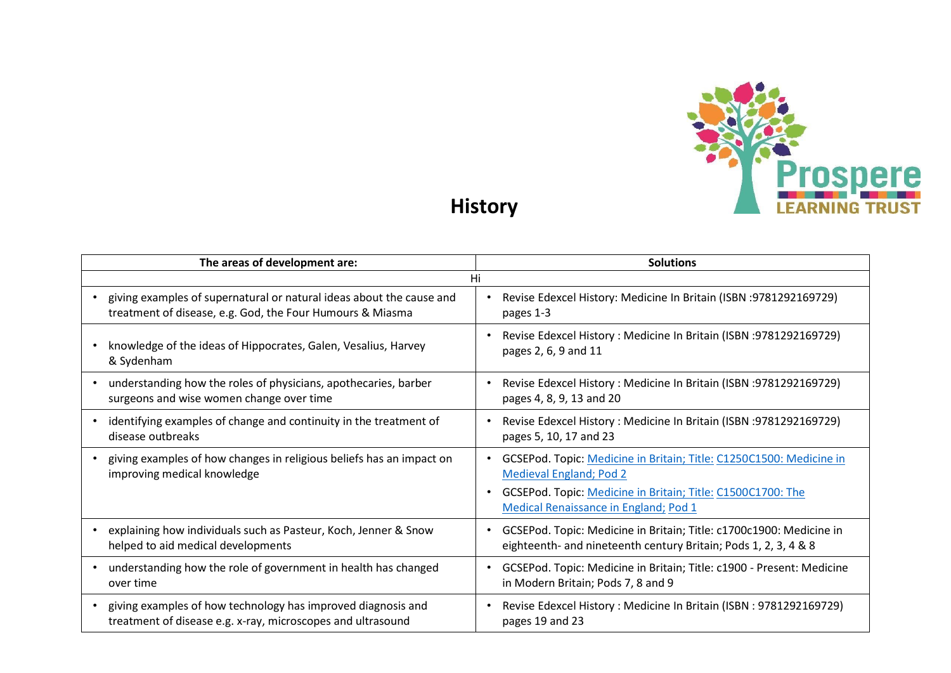

**History**

| The areas of development are:                                                                       | <b>Solutions</b>                                                                                                                                                                                              |  |  |  |
|-----------------------------------------------------------------------------------------------------|---------------------------------------------------------------------------------------------------------------------------------------------------------------------------------------------------------------|--|--|--|
| Hi                                                                                                  |                                                                                                                                                                                                               |  |  |  |
| giving examples of supernatural or natural ideas about the cause and                                | Revise Edexcel History: Medicine In Britain (ISBN : 9781292169729)                                                                                                                                            |  |  |  |
| treatment of disease, e.g. God, the Four Humours & Miasma                                           | pages 1-3                                                                                                                                                                                                     |  |  |  |
| knowledge of the ideas of Hippocrates, Galen, Vesalius, Harvey                                      | Revise Edexcel History: Medicine In Britain (ISBN : 9781292169729)                                                                                                                                            |  |  |  |
| & Sydenham                                                                                          | pages 2, 6, 9 and 11                                                                                                                                                                                          |  |  |  |
| understanding how the roles of physicians, apothecaries, barber                                     | Revise Edexcel History: Medicine In Britain (ISBN : 9781292169729)                                                                                                                                            |  |  |  |
| surgeons and wise women change over time                                                            | pages 4, 8, 9, 13 and 20                                                                                                                                                                                      |  |  |  |
| identifying examples of change and continuity in the treatment of                                   | Revise Edexcel History: Medicine In Britain (ISBN: 9781292169729)                                                                                                                                             |  |  |  |
| disease outbreaks                                                                                   | pages 5, 10, 17 and 23                                                                                                                                                                                        |  |  |  |
| giving examples of how changes in religious beliefs has an impact on<br>improving medical knowledge | GCSEPod. Topic: Medicine in Britain; Title: C1250C1500: Medicine in<br><b>Medieval England; Pod 2</b><br>GCSEPod. Topic: Medicine in Britain; Title: C1500C1700: The<br>Medical Renaissance in England; Pod 1 |  |  |  |
| explaining how individuals such as Pasteur, Koch, Jenner & Snow                                     | GCSEPod. Topic: Medicine in Britain; Title: c1700c1900: Medicine in                                                                                                                                           |  |  |  |
| helped to aid medical developments                                                                  | eighteenth- and nineteenth century Britain; Pods 1, 2, 3, 4 & 8                                                                                                                                               |  |  |  |
| understanding how the role of government in health has changed                                      | GCSEPod. Topic: Medicine in Britain; Title: c1900 - Present: Medicine                                                                                                                                         |  |  |  |
| over time                                                                                           | in Modern Britain; Pods 7, 8 and 9                                                                                                                                                                            |  |  |  |
| giving examples of how technology has improved diagnosis and                                        | Revise Edexcel History: Medicine In Britain (ISBN: 9781292169729)                                                                                                                                             |  |  |  |
| treatment of disease e.g. x-ray, microscopes and ultrasound                                         | pages 19 and 23                                                                                                                                                                                               |  |  |  |